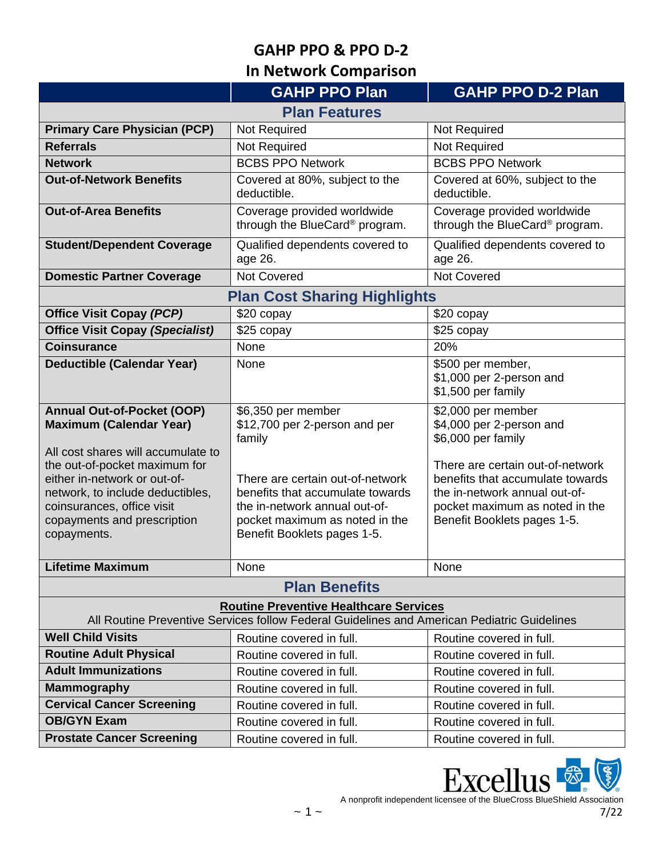**In Network Comparison** 

|                                                                                                                                                                                                                     | <b>GAHP PPO Plan</b>                                                                                                                                                   | <b>GAHP PPO D-2 Plan</b>                                                                                                                                               |  |  |
|---------------------------------------------------------------------------------------------------------------------------------------------------------------------------------------------------------------------|------------------------------------------------------------------------------------------------------------------------------------------------------------------------|------------------------------------------------------------------------------------------------------------------------------------------------------------------------|--|--|
| <b>Plan Features</b>                                                                                                                                                                                                |                                                                                                                                                                        |                                                                                                                                                                        |  |  |
| <b>Primary Care Physician (PCP)</b>                                                                                                                                                                                 | Not Required                                                                                                                                                           | Not Required                                                                                                                                                           |  |  |
| <b>Referrals</b>                                                                                                                                                                                                    | <b>Not Required</b>                                                                                                                                                    | Not Required                                                                                                                                                           |  |  |
| <b>Network</b>                                                                                                                                                                                                      | <b>BCBS PPO Network</b>                                                                                                                                                | <b>BCBS PPO Network</b>                                                                                                                                                |  |  |
| <b>Out-of-Network Benefits</b>                                                                                                                                                                                      | Covered at 80%, subject to the<br>deductible.                                                                                                                          | Covered at 60%, subject to the<br>deductible.                                                                                                                          |  |  |
| <b>Out-of-Area Benefits</b>                                                                                                                                                                                         | Coverage provided worldwide<br>through the BlueCard® program.                                                                                                          | Coverage provided worldwide<br>through the BlueCard® program.                                                                                                          |  |  |
| <b>Student/Dependent Coverage</b>                                                                                                                                                                                   | Qualified dependents covered to<br>age 26.                                                                                                                             | Qualified dependents covered to<br>age 26.                                                                                                                             |  |  |
| <b>Domestic Partner Coverage</b>                                                                                                                                                                                    | <b>Not Covered</b>                                                                                                                                                     | <b>Not Covered</b>                                                                                                                                                     |  |  |
|                                                                                                                                                                                                                     | <b>Plan Cost Sharing Highlights</b>                                                                                                                                    |                                                                                                                                                                        |  |  |
| <b>Office Visit Copay (PCP)</b>                                                                                                                                                                                     | \$20 copay                                                                                                                                                             | \$20 copay                                                                                                                                                             |  |  |
| <b>Office Visit Copay (Specialist)</b>                                                                                                                                                                              | \$25 copay                                                                                                                                                             | \$25 copay                                                                                                                                                             |  |  |
| <b>Coinsurance</b>                                                                                                                                                                                                  | None                                                                                                                                                                   | 20%                                                                                                                                                                    |  |  |
| <b>Deductible (Calendar Year)</b>                                                                                                                                                                                   | None                                                                                                                                                                   | \$500 per member,<br>\$1,000 per 2-person and<br>\$1,500 per family                                                                                                    |  |  |
| <b>Annual Out-of-Pocket (OOP)</b><br><b>Maximum (Calendar Year)</b>                                                                                                                                                 | \$6,350 per member<br>\$12,700 per 2-person and per<br>family                                                                                                          | \$2,000 per member<br>\$4,000 per 2-person and<br>\$6,000 per family                                                                                                   |  |  |
| All cost shares will accumulate to<br>the out-of-pocket maximum for<br>either in-network or out-of-<br>network, to include deductibles,<br>coinsurances, office visit<br>copayments and prescription<br>copayments. | There are certain out-of-network<br>benefits that accumulate towards<br>the in-network annual out-of-<br>pocket maximum as noted in the<br>Benefit Booklets pages 1-5. | There are certain out-of-network<br>benefits that accumulate towards<br>the in-network annual out-of-<br>pocket maximum as noted in the<br>Benefit Booklets pages 1-5. |  |  |
| Lifetime Maximum                                                                                                                                                                                                    | None                                                                                                                                                                   | None                                                                                                                                                                   |  |  |
| <b>Plan Benefits</b>                                                                                                                                                                                                |                                                                                                                                                                        |                                                                                                                                                                        |  |  |
| <b>Routine Preventive Healthcare Services</b><br>All Routine Preventive Services follow Federal Guidelines and American Pediatric Guidelines                                                                        |                                                                                                                                                                        |                                                                                                                                                                        |  |  |
| <b>Well Child Visits</b>                                                                                                                                                                                            | Routine covered in full.                                                                                                                                               | Routine covered in full.                                                                                                                                               |  |  |
| <b>Routine Adult Physical</b>                                                                                                                                                                                       | Routine covered in full.                                                                                                                                               | Routine covered in full.                                                                                                                                               |  |  |
| <b>Adult Immunizations</b>                                                                                                                                                                                          | Routine covered in full.                                                                                                                                               | Routine covered in full.                                                                                                                                               |  |  |
| <b>Mammography</b>                                                                                                                                                                                                  | Routine covered in full.                                                                                                                                               | Routine covered in full.                                                                                                                                               |  |  |
| <b>Cervical Cancer Screening</b>                                                                                                                                                                                    | Routine covered in full.                                                                                                                                               | Routine covered in full.                                                                                                                                               |  |  |
| <b>OB/GYN Exam</b>                                                                                                                                                                                                  | Routine covered in full.                                                                                                                                               | Routine covered in full.                                                                                                                                               |  |  |
| <b>Prostate Cancer Screening</b>                                                                                                                                                                                    | Routine covered in full.                                                                                                                                               | Routine covered in full.                                                                                                                                               |  |  |

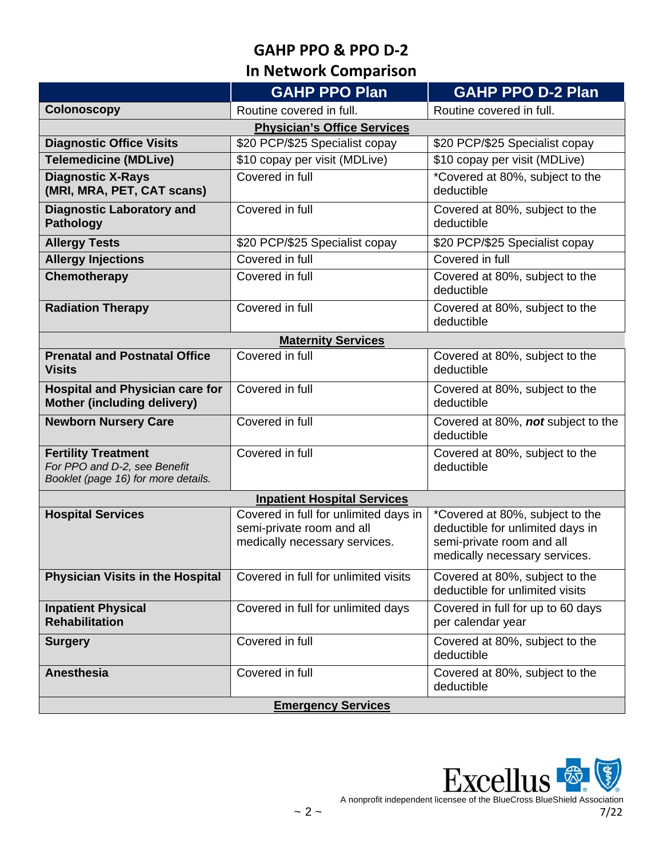# **In Network Comparison**

|                                                                                                   | <b>GAHP PPO Plan</b>                                                                                | <b>GAHP PPO D-2 Plan</b>                                                                                                          |  |  |
|---------------------------------------------------------------------------------------------------|-----------------------------------------------------------------------------------------------------|-----------------------------------------------------------------------------------------------------------------------------------|--|--|
| <b>Colonoscopy</b>                                                                                | Routine covered in full.                                                                            | Routine covered in full.                                                                                                          |  |  |
| <b>Physician's Office Services</b>                                                                |                                                                                                     |                                                                                                                                   |  |  |
| <b>Diagnostic Office Visits</b>                                                                   | \$20 PCP/\$25 Specialist copay                                                                      | \$20 PCP/\$25 Specialist copay                                                                                                    |  |  |
| <b>Telemedicine (MDLive)</b>                                                                      | \$10 copay per visit (MDLive)                                                                       | \$10 copay per visit (MDLive)                                                                                                     |  |  |
| <b>Diagnostic X-Rays</b><br>(MRI, MRA, PET, CAT scans)                                            | Covered in full                                                                                     | *Covered at 80%, subject to the<br>deductible                                                                                     |  |  |
| <b>Diagnostic Laboratory and</b><br><b>Pathology</b>                                              | Covered in full                                                                                     | Covered at 80%, subject to the<br>deductible                                                                                      |  |  |
| <b>Allergy Tests</b>                                                                              | \$20 PCP/\$25 Specialist copay                                                                      | \$20 PCP/\$25 Specialist copay                                                                                                    |  |  |
| <b>Allergy Injections</b>                                                                         | Covered in full                                                                                     | Covered in full                                                                                                                   |  |  |
| Chemotherapy                                                                                      | Covered in full                                                                                     | Covered at 80%, subject to the<br>deductible                                                                                      |  |  |
| <b>Radiation Therapy</b>                                                                          | Covered in full                                                                                     | Covered at 80%, subject to the<br>deductible                                                                                      |  |  |
|                                                                                                   | <b>Maternity Services</b>                                                                           |                                                                                                                                   |  |  |
| <b>Prenatal and Postnatal Office</b><br><b>Visits</b>                                             | Covered in full                                                                                     | Covered at 80%, subject to the<br>deductible                                                                                      |  |  |
| <b>Hospital and Physician care for</b><br>Mother (including delivery)                             | Covered in full                                                                                     | Covered at 80%, subject to the<br>deductible                                                                                      |  |  |
| <b>Newborn Nursery Care</b>                                                                       | Covered in full                                                                                     | Covered at 80%, not subject to the<br>deductible                                                                                  |  |  |
| <b>Fertility Treatment</b><br>For PPO and D-2, see Benefit<br>Booklet (page 16) for more details. | Covered in full                                                                                     | Covered at 80%, subject to the<br>deductible                                                                                      |  |  |
| <b>Inpatient Hospital Services</b>                                                                |                                                                                                     |                                                                                                                                   |  |  |
| <b>Hospital Services</b>                                                                          | Covered in full for unlimited days in<br>semi-private room and all<br>medically necessary services. | *Covered at 80%, subject to the<br>deductible for unlimited days in<br>semi-private room and all<br>medically necessary services. |  |  |
| <b>Physician Visits in the Hospital</b>                                                           | Covered in full for unlimited visits                                                                | Covered at 80%, subject to the<br>deductible for unlimited visits                                                                 |  |  |
| <b>Inpatient Physical</b><br><b>Rehabilitation</b>                                                | Covered in full for unlimited days                                                                  | Covered in full for up to 60 days<br>per calendar year                                                                            |  |  |
| <b>Surgery</b>                                                                                    | Covered in full                                                                                     | Covered at 80%, subject to the<br>deductible                                                                                      |  |  |
| <b>Anesthesia</b>                                                                                 | Covered in full                                                                                     | Covered at 80%, subject to the<br>deductible                                                                                      |  |  |
| <b>Emergency Services</b>                                                                         |                                                                                                     |                                                                                                                                   |  |  |

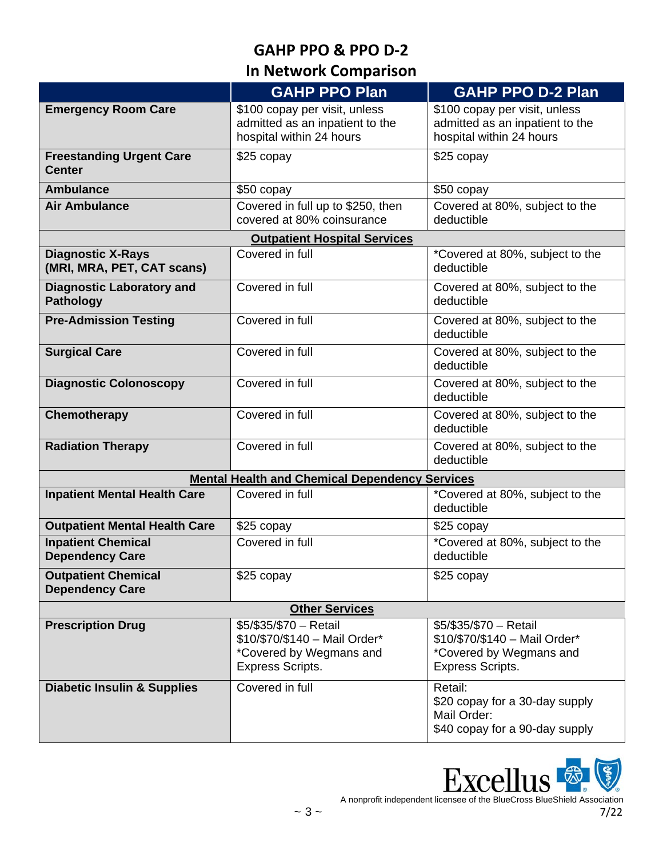## **In Network Comparison**

|                                                        | <b>GAHP PPO Plan</b>                                                                                          | <b>GAHP PPO D-2 Plan</b>                                                                                      |  |  |
|--------------------------------------------------------|---------------------------------------------------------------------------------------------------------------|---------------------------------------------------------------------------------------------------------------|--|--|
| <b>Emergency Room Care</b>                             | \$100 copay per visit, unless<br>admitted as an inpatient to the<br>hospital within 24 hours                  | \$100 copay per visit, unless<br>admitted as an inpatient to the<br>hospital within 24 hours                  |  |  |
| <b>Freestanding Urgent Care</b><br><b>Center</b>       | $$25$ copay                                                                                                   | \$25 copay                                                                                                    |  |  |
| <b>Ambulance</b>                                       | \$50 copay                                                                                                    | \$50 copay                                                                                                    |  |  |
| <b>Air Ambulance</b>                                   | Covered in full up to \$250, then<br>covered at 80% coinsurance                                               | Covered at 80%, subject to the<br>deductible                                                                  |  |  |
|                                                        | <b>Outpatient Hospital Services</b>                                                                           |                                                                                                               |  |  |
| <b>Diagnostic X-Rays</b><br>(MRI, MRA, PET, CAT scans) | Covered in full                                                                                               | *Covered at 80%, subject to the<br>deductible                                                                 |  |  |
| <b>Diagnostic Laboratory and</b><br><b>Pathology</b>   | Covered in full                                                                                               | Covered at 80%, subject to the<br>deductible                                                                  |  |  |
| <b>Pre-Admission Testing</b>                           | Covered in full                                                                                               | Covered at 80%, subject to the<br>deductible                                                                  |  |  |
| <b>Surgical Care</b>                                   | Covered in full                                                                                               | Covered at 80%, subject to the<br>deductible                                                                  |  |  |
| <b>Diagnostic Colonoscopy</b>                          | Covered in full                                                                                               | Covered at 80%, subject to the<br>deductible                                                                  |  |  |
| Chemotherapy                                           | Covered in full                                                                                               | Covered at 80%, subject to the<br>deductible                                                                  |  |  |
| <b>Radiation Therapy</b>                               | Covered in full                                                                                               | Covered at 80%, subject to the<br>deductible                                                                  |  |  |
|                                                        | <b>Mental Health and Chemical Dependency Services</b>                                                         |                                                                                                               |  |  |
| <b>Inpatient Mental Health Care</b>                    | Covered in full                                                                                               | *Covered at 80%, subject to the<br>deductible                                                                 |  |  |
| <b>Outpatient Mental Health Care</b>                   | \$25 copay                                                                                                    | \$25 copay                                                                                                    |  |  |
| <b>Inpatient Chemical</b><br><b>Dependency Care</b>    | Covered in full                                                                                               | *Covered at 80%, subject to the<br>deductible                                                                 |  |  |
| <b>Outpatient Chemical</b><br><b>Dependency Care</b>   | \$25 copay                                                                                                    | \$25 copay                                                                                                    |  |  |
| <b>Other Services</b>                                  |                                                                                                               |                                                                                                               |  |  |
| <b>Prescription Drug</b>                               | \$5/\$35/\$70 - Retail<br>\$10/\$70/\$140 - Mail Order*<br>*Covered by Wegmans and<br><b>Express Scripts.</b> | \$5/\$35/\$70 - Retail<br>\$10/\$70/\$140 - Mail Order*<br>*Covered by Wegmans and<br><b>Express Scripts.</b> |  |  |
| <b>Diabetic Insulin &amp; Supplies</b>                 | Covered in full                                                                                               | Retail:<br>\$20 copay for a 30-day supply<br>Mail Order:<br>\$40 copay for a 90-day supply                    |  |  |

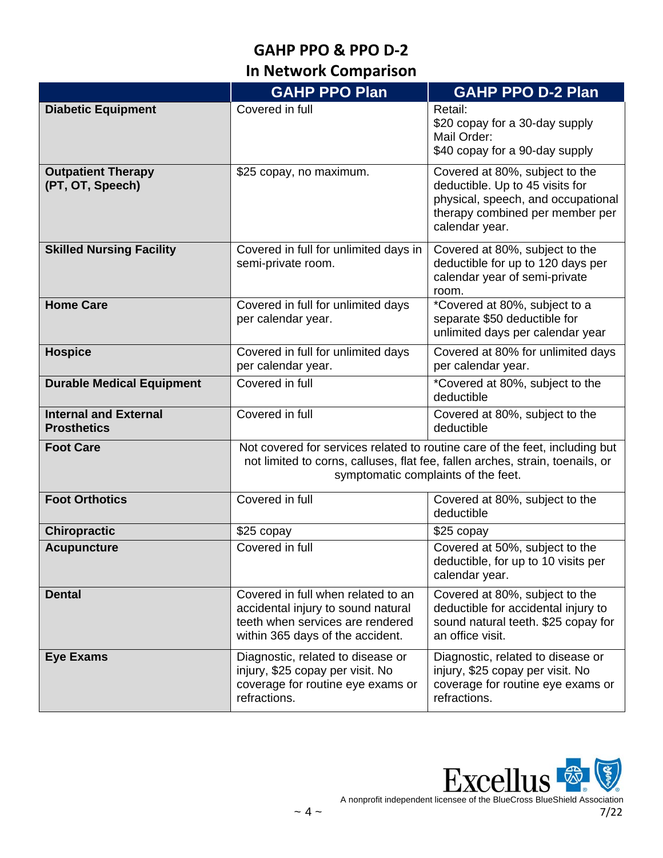## **In Network Comparison**

|                                                    | <b>GAHP PPO Plan</b>                                                                                                                                                                                | <b>GAHP PPO D-2 Plan</b>                                                                                                                                     |
|----------------------------------------------------|-----------------------------------------------------------------------------------------------------------------------------------------------------------------------------------------------------|--------------------------------------------------------------------------------------------------------------------------------------------------------------|
| <b>Diabetic Equipment</b>                          | Covered in full                                                                                                                                                                                     | Retail:<br>\$20 copay for a 30-day supply<br>Mail Order:<br>\$40 copay for a 90-day supply                                                                   |
| <b>Outpatient Therapy</b><br>(PT, OT, Speech)      | \$25 copay, no maximum.                                                                                                                                                                             | Covered at 80%, subject to the<br>deductible. Up to 45 visits for<br>physical, speech, and occupational<br>therapy combined per member per<br>calendar year. |
| <b>Skilled Nursing Facility</b>                    | Covered in full for unlimited days in<br>semi-private room.                                                                                                                                         | Covered at 80%, subject to the<br>deductible for up to 120 days per<br>calendar year of semi-private<br>room.                                                |
| <b>Home Care</b>                                   | Covered in full for unlimited days<br>per calendar year.                                                                                                                                            | *Covered at 80%, subject to a<br>separate \$50 deductible for<br>unlimited days per calendar year                                                            |
| <b>Hospice</b>                                     | Covered in full for unlimited days<br>per calendar year.                                                                                                                                            | Covered at 80% for unlimited days<br>per calendar year.                                                                                                      |
| <b>Durable Medical Equipment</b>                   | Covered in full                                                                                                                                                                                     | *Covered at 80%, subject to the<br>deductible                                                                                                                |
| <b>Internal and External</b><br><b>Prosthetics</b> | Covered in full                                                                                                                                                                                     | Covered at 80%, subject to the<br>deductible                                                                                                                 |
| <b>Foot Care</b>                                   | Not covered for services related to routine care of the feet, including but<br>not limited to corns, calluses, flat fee, fallen arches, strain, toenails, or<br>symptomatic complaints of the feet. |                                                                                                                                                              |
| <b>Foot Orthotics</b>                              | Covered in full                                                                                                                                                                                     | Covered at 80%, subject to the<br>deductible                                                                                                                 |
| <b>Chiropractic</b>                                | \$25 copay                                                                                                                                                                                          | \$25 copay                                                                                                                                                   |
| <b>Acupuncture</b>                                 | Covered in full                                                                                                                                                                                     | Covered at 50%, subject to the<br>deductible, for up to 10 visits per<br>calendar year.                                                                      |
| <b>Dental</b>                                      | Covered in full when related to an<br>accidental injury to sound natural<br>teeth when services are rendered<br>within 365 days of the accident.                                                    | Covered at 80%, subject to the<br>deductible for accidental injury to<br>sound natural teeth. \$25 copay for<br>an office visit.                             |
| <b>Eye Exams</b>                                   | Diagnostic, related to disease or<br>injury, \$25 copay per visit. No<br>coverage for routine eye exams or<br>refractions.                                                                          | Diagnostic, related to disease or<br>injury, \$25 copay per visit. No<br>coverage for routine eye exams or<br>refractions.                                   |